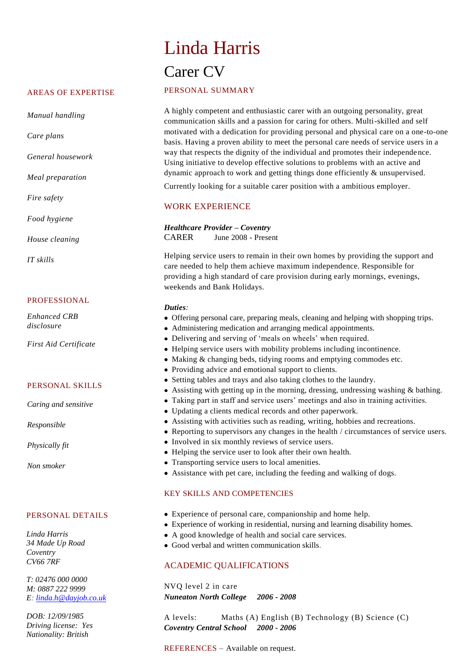# AREAS OF EXPERTISE

*Manual handling*

*Care plans*

*General housework*

*Meal preparation*

*Fire safety*

*Food hygiene* 

*House cleaning*

*IT skills*

## PROFESSIONAL

*Enhanced CRB disclosure*

*First Aid Certificate*

#### PERSONAL SKILLS

*Caring and sensitive*

*Responsible*

*Physically fit*

*Non smoker*

#### PERSONAL DETAILS

*Linda Harris 34 Made Up Road Coventry CV66 7RF*

*T: 02476 000 0000 M: 0887 222 9999 E: [linda.h@dayjob.co.uk](mailto:linda.h@dayjob.co.uk)*

*DOB: 12/09/1985 Driving license: Yes Nationality: British*

# Linda Harris Carer CV

### PERSONAL SUMMARY

A highly competent and enthusiastic carer with an outgoing personality, great communication skills and a passion for caring for others. Multi-skilled and self motivated with a dedication for providing personal and physical care on a one-to-one basis. Having a proven ability to meet the personal care needs of service users in a way that respects the dignity of the individual and promotes their independence. Using initiative to develop effective solutions to problems with an active and dynamic approach to work and getting things done efficiently & unsupervised. Currently looking for a suitable carer position with a ambitious employer.

### WORK EXPERIENCE

*Healthcare Provider – Coventry* CARER June 2008 - Present

Helping service users to remain in their own homes by providing the support and care needed to help them achieve maximum independence. Responsible for providing a high standard of care provision during early mornings, evenings, weekends and Bank Holidays.

#### *Duties:*

- Offering personal care, preparing meals, cleaning and helping with shopping trips.
- Administering medication and arranging medical appointments.
- Delivering and serving of 'meals on wheels' when required.
- Helping service users with mobility problems including incontinence.
- Making & changing beds, tidying rooms and emptying commodes etc.
- Providing advice and emotional support to clients.
- Setting tables and trays and also taking clothes to the laundry.
- Assisting with getting up in the morning, dressing, undressing washing & bathing.
- Taking part in staff and service users' meetings and also in training activities.
- Updating a clients medical records and other paperwork.
- Assisting with activities such as reading, writing, hobbies and recreations.
- Reporting to supervisors any changes in the health / circumstances of service users.
- Involved in six monthly reviews of service users.
- Helping the service user to look after their own health.
- Transporting service users to local amenities.
- Assistance with pet care, including the feeding and walking of dogs.

## KEY SKILLS AND COMPETENCIES

- Experience of personal care, companionship and home help.
- Experience of working in residential, nursing and learning disability homes.
- A good knowledge of health and social care services.
- Good verbal and written communication skills.

# ACADEMIC QUALIFICATIONS

NVQ level 2 in care *Nuneaton North College 2006 - 2008* 

A levels: Maths (A) English (B) Technology (B) Science (C) *Coventry Central School 2000 - 2006*

REFERENCES – Available on request.